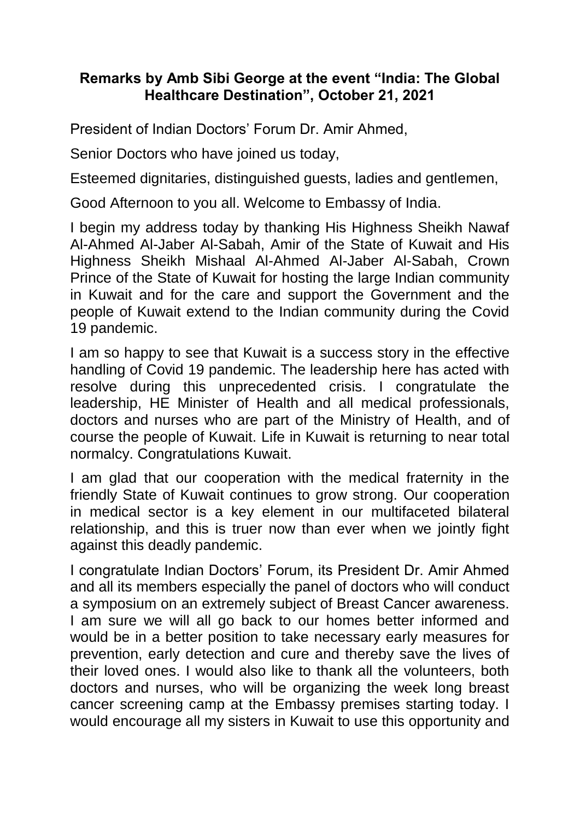## **Remarks by Amb Sibi George at the event "India: The Global Healthcare Destination", October 21, 2021**

President of Indian Doctors' Forum Dr. Amir Ahmed,

Senior Doctors who have joined us today,

Esteemed dignitaries, distinguished guests, ladies and gentlemen,

Good Afternoon to you all. Welcome to Embassy of India.

I begin my address today by thanking His Highness Sheikh Nawaf Al-Ahmed Al-Jaber Al-Sabah, Amir of the State of Kuwait and His Highness Sheikh Mishaal Al-Ahmed Al-Jaber Al-Sabah, Crown Prince of the State of Kuwait for hosting the large Indian community in Kuwait and for the care and support the Government and the people of Kuwait extend to the Indian community during the Covid 19 pandemic.

I am so happy to see that Kuwait is a success story in the effective handling of Covid 19 pandemic. The leadership here has acted with resolve during this unprecedented crisis. I congratulate the leadership, HE Minister of Health and all medical professionals, doctors and nurses who are part of the Ministry of Health, and of course the people of Kuwait. Life in Kuwait is returning to near total normalcy. Congratulations Kuwait.

I am glad that our cooperation with the medical fraternity in the friendly State of Kuwait continues to grow strong. Our cooperation in medical sector is a key element in our multifaceted bilateral relationship, and this is truer now than ever when we jointly fight against this deadly pandemic.

I congratulate Indian Doctors' Forum, its President Dr. Amir Ahmed and all its members especially the panel of doctors who will conduct a symposium on an extremely subject of Breast Cancer awareness. I am sure we will all go back to our homes better informed and would be in a better position to take necessary early measures for prevention, early detection and cure and thereby save the lives of their loved ones. I would also like to thank all the volunteers, both doctors and nurses, who will be organizing the week long breast cancer screening camp at the Embassy premises starting today. I would encourage all my sisters in Kuwait to use this opportunity and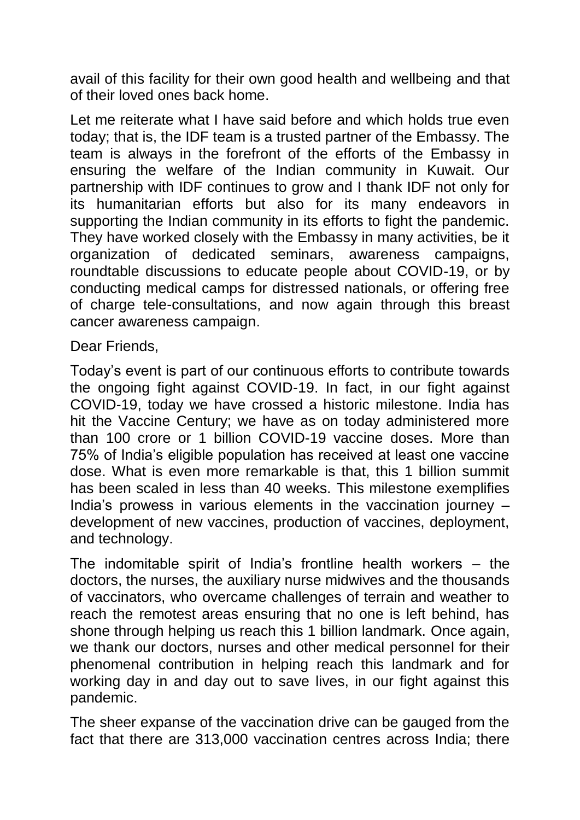avail of this facility for their own good health and wellbeing and that of their loved ones back home.

Let me reiterate what I have said before and which holds true even today; that is, the IDF team is a trusted partner of the Embassy. The team is always in the forefront of the efforts of the Embassy in ensuring the welfare of the Indian community in Kuwait. Our partnership with IDF continues to grow and I thank IDF not only for its humanitarian efforts but also for its many endeavors in supporting the Indian community in its efforts to fight the pandemic. They have worked closely with the Embassy in many activities, be it organization of dedicated seminars, awareness campaigns, roundtable discussions to educate people about COVID-19, or by conducting medical camps for distressed nationals, or offering free of charge tele-consultations, and now again through this breast cancer awareness campaign.

Dear Friends,

Today's event is part of our continuous efforts to contribute towards the ongoing fight against COVID-19. In fact, in our fight against COVID-19, today we have crossed a historic milestone. India has hit the Vaccine Century; we have as on today administered more than 100 crore or 1 billion COVID-19 vaccine doses. More than 75% of India's eligible population has received at least one vaccine dose. What is even more remarkable is that, this 1 billion summit has been scaled in less than 40 weeks. This milestone exemplifies India's prowess in various elements in the vaccination journey – development of new vaccines, production of vaccines, deployment, and technology.

The indomitable spirit of India's frontline health workers – the doctors, the nurses, the auxiliary nurse midwives and the thousands of vaccinators, who overcame challenges of terrain and weather to reach the remotest areas ensuring that no one is left behind, has shone through helping us reach this 1 billion landmark. Once again, we thank our doctors, nurses and other medical personnel for their phenomenal contribution in helping reach this landmark and for working day in and day out to save lives, in our fight against this pandemic.

The sheer expanse of the vaccination drive can be gauged from the fact that there are 313,000 vaccination centres across India; there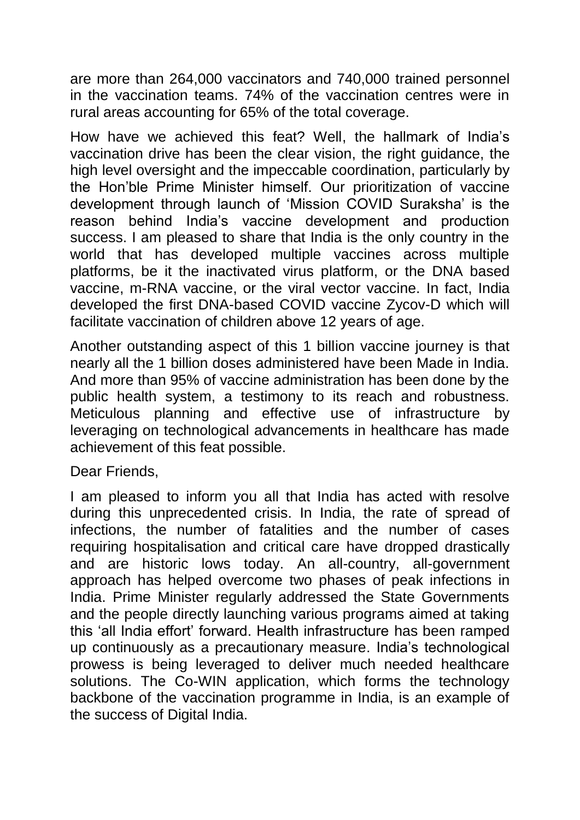are more than 264,000 vaccinators and 740,000 trained personnel in the vaccination teams. 74% of the vaccination centres were in rural areas accounting for 65% of the total coverage.

How have we achieved this feat? Well, the hallmark of India's vaccination drive has been the clear vision, the right guidance, the high level oversight and the impeccable coordination, particularly by the Hon'ble Prime Minister himself. Our prioritization of vaccine development through launch of 'Mission COVID Suraksha' is the reason behind India's vaccine development and production success. I am pleased to share that India is the only country in the world that has developed multiple vaccines across multiple platforms, be it the inactivated virus platform, or the DNA based vaccine, m-RNA vaccine, or the viral vector vaccine. In fact, India developed the first DNA-based COVID vaccine Zycov-D which will facilitate vaccination of children above 12 years of age.

Another outstanding aspect of this 1 billion vaccine journey is that nearly all the 1 billion doses administered have been Made in India. And more than 95% of vaccine administration has been done by the public health system, a testimony to its reach and robustness. Meticulous planning and effective use of infrastructure by leveraging on technological advancements in healthcare has made achievement of this feat possible.

Dear Friends,

I am pleased to inform you all that India has acted with resolve during this unprecedented crisis. In India, the rate of spread of infections, the number of fatalities and the number of cases requiring hospitalisation and critical care have dropped drastically and are historic lows today. An all-country, all-government approach has helped overcome two phases of peak infections in India. Prime Minister regularly addressed the State Governments and the people directly launching various programs aimed at taking this 'all India effort' forward. Health infrastructure has been ramped up continuously as a precautionary measure. India's technological prowess is being leveraged to deliver much needed healthcare solutions. The Co-WIN application, which forms the technology backbone of the vaccination programme in India, is an example of the success of Digital India.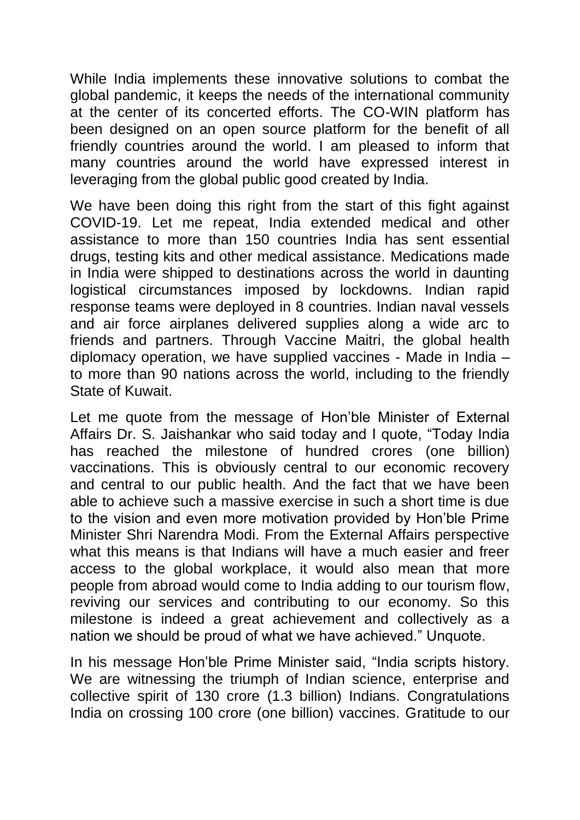While India implements these innovative solutions to combat the global pandemic, it keeps the needs of the international community at the center of its concerted efforts. The CO-WIN platform has been designed on an open source platform for the benefit of all friendly countries around the world. I am pleased to inform that many countries around the world have expressed interest in leveraging from the global public good created by India.

We have been doing this right from the start of this fight against COVID-19. Let me repeat, India extended medical and other assistance to more than 150 countries India has sent essential drugs, testing kits and other medical assistance. Medications made in India were shipped to destinations across the world in daunting logistical circumstances imposed by lockdowns. Indian rapid response teams were deployed in 8 countries. Indian naval vessels and air force airplanes delivered supplies along a wide arc to friends and partners. Through Vaccine Maitri, the global health diplomacy operation, we have supplied vaccines - Made in India – to more than 90 nations across the world, including to the friendly State of Kuwait.

Let me quote from the message of Hon'ble Minister of External Affairs Dr. S. Jaishankar who said today and I quote, "Today India has reached the milestone of hundred crores (one billion) vaccinations. This is obviously central to our economic recovery and central to our public health. And the fact that we have been able to achieve such a massive exercise in such a short time is due to the vision and even more motivation provided by Hon'ble Prime Minister Shri Narendra Modi. From the External Affairs perspective what this means is that Indians will have a much easier and freer access to the global workplace, it would also mean that more people from abroad would come to India adding to our tourism flow, reviving our services and contributing to our economy. So this milestone is indeed a great achievement and collectively as a nation we should be proud of what we have achieved." Unquote.

In his message Hon'ble Prime Minister said, "India scripts history. We are witnessing the triumph of Indian science, enterprise and collective spirit of 130 crore (1.3 billion) Indians. Congratulations India on crossing 100 crore (one billion) vaccines. Gratitude to our